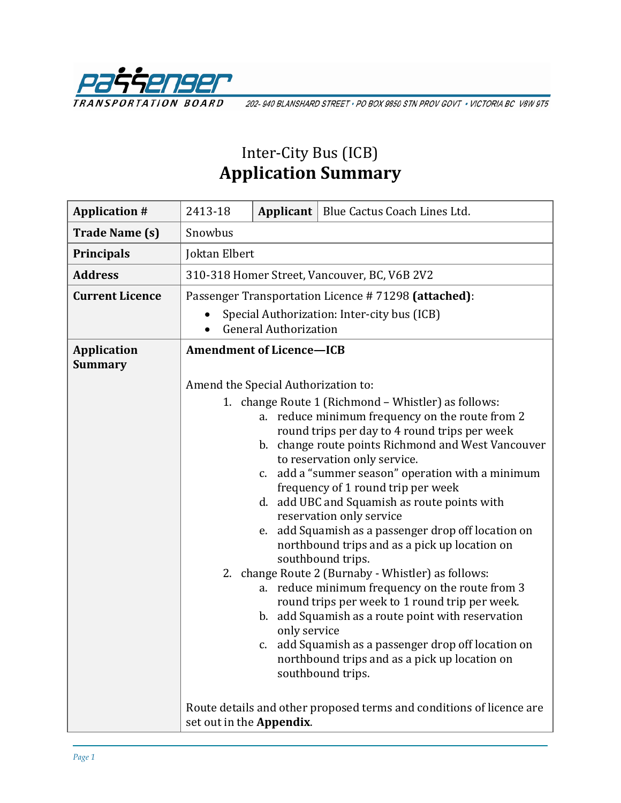

202-940 BLANSHARD STREET · PO BOX 9850 STN PROV GOVT · VICTORIA BC V8W 9T5

# Inter-City Bus (ICB) **Application Summary**

| 2413-18 |              | Applicant   Blue Cactus Coach Lines Ltd.                                                                                                                                                                                                                                                                                                                                                                                                                                                                                                                                                                                                                                                                                                                                                                                                                                                       |
|---------|--------------|------------------------------------------------------------------------------------------------------------------------------------------------------------------------------------------------------------------------------------------------------------------------------------------------------------------------------------------------------------------------------------------------------------------------------------------------------------------------------------------------------------------------------------------------------------------------------------------------------------------------------------------------------------------------------------------------------------------------------------------------------------------------------------------------------------------------------------------------------------------------------------------------|
| Snowbus |              |                                                                                                                                                                                                                                                                                                                                                                                                                                                                                                                                                                                                                                                                                                                                                                                                                                                                                                |
|         |              |                                                                                                                                                                                                                                                                                                                                                                                                                                                                                                                                                                                                                                                                                                                                                                                                                                                                                                |
|         |              |                                                                                                                                                                                                                                                                                                                                                                                                                                                                                                                                                                                                                                                                                                                                                                                                                                                                                                |
|         |              | Passenger Transportation Licence #71298 (attached):                                                                                                                                                                                                                                                                                                                                                                                                                                                                                                                                                                                                                                                                                                                                                                                                                                            |
|         |              | Special Authorization: Inter-city bus (ICB)                                                                                                                                                                                                                                                                                                                                                                                                                                                                                                                                                                                                                                                                                                                                                                                                                                                    |
|         |              |                                                                                                                                                                                                                                                                                                                                                                                                                                                                                                                                                                                                                                                                                                                                                                                                                                                                                                |
|         |              |                                                                                                                                                                                                                                                                                                                                                                                                                                                                                                                                                                                                                                                                                                                                                                                                                                                                                                |
|         |              |                                                                                                                                                                                                                                                                                                                                                                                                                                                                                                                                                                                                                                                                                                                                                                                                                                                                                                |
|         | only service | 1. change Route 1 (Richmond – Whistler) as follows:<br>a. reduce minimum frequency on the route from 2<br>round trips per day to 4 round trips per week<br>b. change route points Richmond and West Vancouver<br>to reservation only service.<br>c. add a "summer season" operation with a minimum<br>frequency of 1 round trip per week<br>d. add UBC and Squamish as route points with<br>reservation only service<br>e. add Squamish as a passenger drop off location on<br>northbound trips and as a pick up location on<br>southbound trips.<br>2. change Route 2 (Burnaby - Whistler) as follows:<br>a. reduce minimum frequency on the route from 3<br>round trips per week to 1 round trip per week.<br>b. add Squamish as a route point with reservation<br>c. add Squamish as a passenger drop off location on<br>northbound trips and as a pick up location on<br>southbound trips. |
|         |              | Route details and other proposed terms and conditions of licence are                                                                                                                                                                                                                                                                                                                                                                                                                                                                                                                                                                                                                                                                                                                                                                                                                           |
|         |              | Joktan Elbert<br>310-318 Homer Street, Vancouver, BC, V6B 2V2<br><b>General Authorization</b><br><b>Amendment of Licence-ICB</b><br>Amend the Special Authorization to:<br>set out in the Appendix.                                                                                                                                                                                                                                                                                                                                                                                                                                                                                                                                                                                                                                                                                            |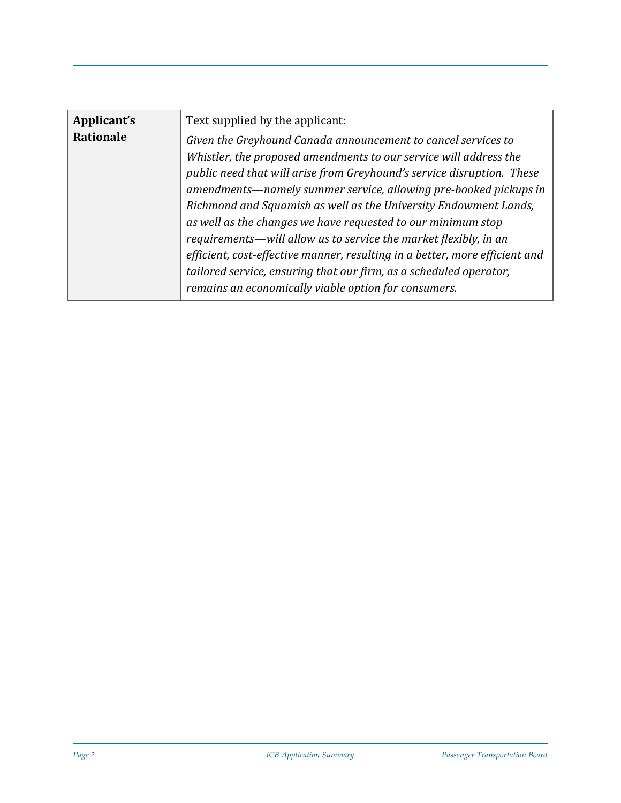| Applicant's      | Text supplied by the applicant:                                                                                                                                                                                                                                                                                                                      |
|------------------|------------------------------------------------------------------------------------------------------------------------------------------------------------------------------------------------------------------------------------------------------------------------------------------------------------------------------------------------------|
| <b>Rationale</b> | Given the Greyhound Canada announcement to cancel services to<br>Whistler, the proposed amendments to our service will address the<br>public need that will arise from Greyhound's service disruption. These<br>amendments—namely summer service, allowing pre-booked pickups in<br>Richmond and Squamish as well as the University Endowment Lands, |
|                  | as well as the changes we have requested to our minimum stop<br>requirements—will allow us to service the market flexibly, in an<br>efficient, cost-effective manner, resulting in a better, more efficient and<br>tailored service, ensuring that our firm, as a scheduled operator,<br>remains an economically viable option for consumers.        |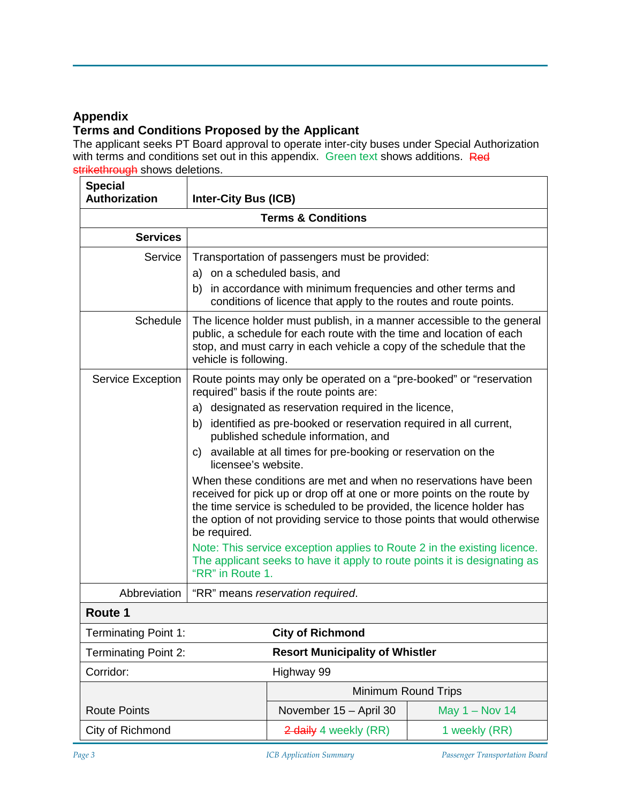## **Appendix**

# **Terms and Conditions Proposed by the Applicant**

The applicant seeks PT Board approval to operate inter-city buses under Special Authorization with terms and conditions set out in this appendix. Green text shows additions. Red strikethrough shows deletions.

| <b>Special</b><br>Authorization | Inter-City Bus (ICB)               |                                                                                                                                                                                                                                                                                                                                                                                                                                                                                                                                                                           |                  |
|---------------------------------|------------------------------------|---------------------------------------------------------------------------------------------------------------------------------------------------------------------------------------------------------------------------------------------------------------------------------------------------------------------------------------------------------------------------------------------------------------------------------------------------------------------------------------------------------------------------------------------------------------------------|------------------|
| <b>Terms &amp; Conditions</b>   |                                    |                                                                                                                                                                                                                                                                                                                                                                                                                                                                                                                                                                           |                  |
| <b>Services</b>                 |                                    |                                                                                                                                                                                                                                                                                                                                                                                                                                                                                                                                                                           |                  |
| Service                         | a) on a scheduled basis, and<br>b) | Transportation of passengers must be provided:<br>in accordance with minimum frequencies and other terms and<br>conditions of licence that apply to the routes and route points.                                                                                                                                                                                                                                                                                                                                                                                          |                  |
| <b>Schedule</b>                 | vehicle is following.              | The licence holder must publish, in a manner accessible to the general<br>public, a schedule for each route with the time and location of each<br>stop, and must carry in each vehicle a copy of the schedule that the                                                                                                                                                                                                                                                                                                                                                    |                  |
| Service Exception               | b)<br>C)<br>licensee's website.    | Route points may only be operated on a "pre-booked" or "reservation<br>required" basis if the route points are:<br>a) designated as reservation required in the licence,<br>identified as pre-booked or reservation required in all current,<br>published schedule information, and<br>available at all times for pre-booking or reservation on the<br>When these conditions are met and when no reservations have been<br>received for pick up or drop off at one or more points on the route by<br>the time service is scheduled to be provided, the licence holder has |                  |
|                                 | be required.<br>"RR" in Route 1.   | the option of not providing service to those points that would otherwise<br>Note: This service exception applies to Route 2 in the existing licence.<br>The applicant seeks to have it apply to route points it is designating as                                                                                                                                                                                                                                                                                                                                         |                  |
| Abbreviation                    |                                    | "RR" means reservation required.                                                                                                                                                                                                                                                                                                                                                                                                                                                                                                                                          |                  |
| Route 1                         |                                    |                                                                                                                                                                                                                                                                                                                                                                                                                                                                                                                                                                           |                  |
| <b>Terminating Point 1:</b>     |                                    | <b>City of Richmond</b>                                                                                                                                                                                                                                                                                                                                                                                                                                                                                                                                                   |                  |
| <b>Terminating Point 2:</b>     |                                    | <b>Resort Municipality of Whistler</b>                                                                                                                                                                                                                                                                                                                                                                                                                                                                                                                                    |                  |
| Corridor:                       |                                    | Highway 99                                                                                                                                                                                                                                                                                                                                                                                                                                                                                                                                                                |                  |
|                                 | Minimum Round Trips                |                                                                                                                                                                                                                                                                                                                                                                                                                                                                                                                                                                           |                  |
| <b>Route Points</b>             |                                    | November 15 - April 30                                                                                                                                                                                                                                                                                                                                                                                                                                                                                                                                                    | May $1 -$ Nov 14 |
| City of Richmond                |                                    | 2 daily 4 weekly (RR)                                                                                                                                                                                                                                                                                                                                                                                                                                                                                                                                                     | 1 weekly (RR)    |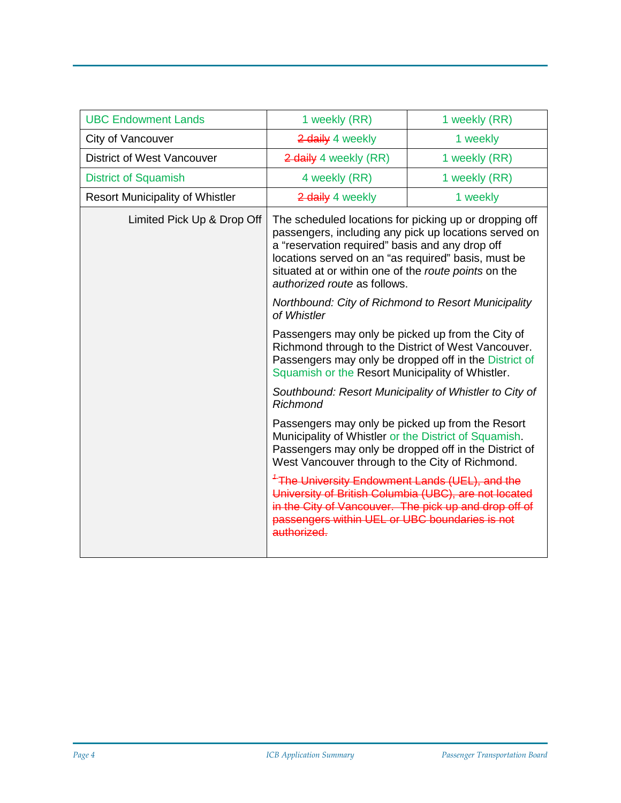| <b>UBC Endowment Lands</b>             | 1 weekly (RR)                                                                                                                                                                                                                                                                                                     | 1 weekly (RR) |
|----------------------------------------|-------------------------------------------------------------------------------------------------------------------------------------------------------------------------------------------------------------------------------------------------------------------------------------------------------------------|---------------|
| City of Vancouver                      | 2 daily 4 weekly                                                                                                                                                                                                                                                                                                  | 1 weekly      |
| <b>District of West Vancouver</b>      | 2 daily 4 weekly (RR)                                                                                                                                                                                                                                                                                             | 1 weekly (RR) |
| <b>District of Squamish</b>            | 4 weekly (RR)                                                                                                                                                                                                                                                                                                     | 1 weekly (RR) |
| <b>Resort Municipality of Whistler</b> | 2 daily 4 weekly                                                                                                                                                                                                                                                                                                  | 1 weekly      |
| Limited Pick Up & Drop Off             | The scheduled locations for picking up or dropping off<br>passengers, including any pick up locations served on<br>a "reservation required" basis and any drop off<br>locations served on an "as required" basis, must be<br>situated at or within one of the route points on the<br>authorized route as follows. |               |
|                                        | Northbound: City of Richmond to Resort Municipality<br>of Whistler                                                                                                                                                                                                                                                |               |
|                                        | Passengers may only be picked up from the City of<br>Richmond through to the District of West Vancouver.<br>Passengers may only be dropped off in the District of<br>Squamish or the Resort Municipality of Whistler.                                                                                             |               |
|                                        | Southbound: Resort Municipality of Whistler to City of<br><b>Richmond</b>                                                                                                                                                                                                                                         |               |
|                                        | Passengers may only be picked up from the Resort<br>Municipality of Whistler or the District of Squamish.<br>Passengers may only be dropped off in the District of<br>West Vancouver through to the City of Richmond.                                                                                             |               |
|                                        | <sup>4</sup> The University Endowment Lands (UEL), and the<br>University of British Columbia (UBC), are not located<br>in the City of Vancouver. The pick up and drop off of<br>passengers within UEL or UBC boundaries is not<br>authorized.                                                                     |               |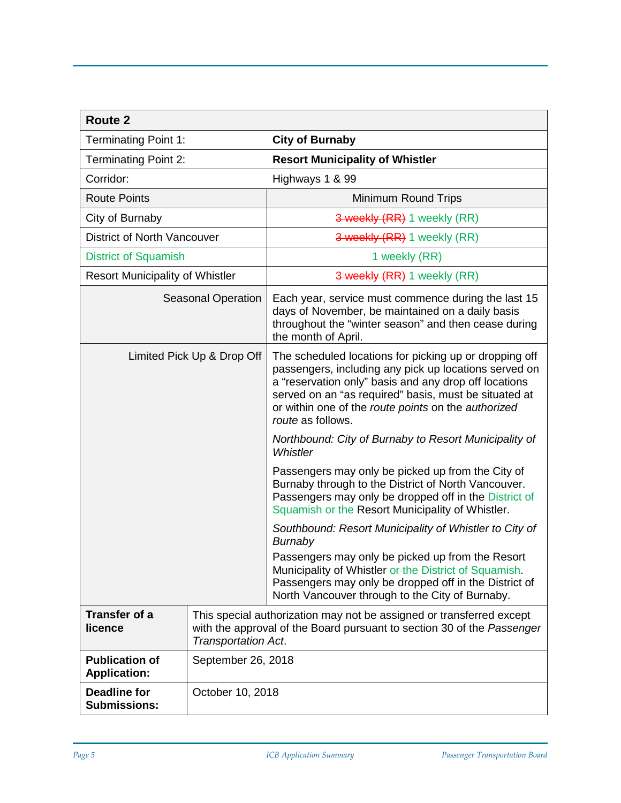| Route 2                                                                                                                                                                                                  |                    |                                                                                                                                                                                                                                                                                                               |  |
|----------------------------------------------------------------------------------------------------------------------------------------------------------------------------------------------------------|--------------------|---------------------------------------------------------------------------------------------------------------------------------------------------------------------------------------------------------------------------------------------------------------------------------------------------------------|--|
| <b>Terminating Point 1:</b>                                                                                                                                                                              |                    | <b>City of Burnaby</b>                                                                                                                                                                                                                                                                                        |  |
| <b>Terminating Point 2:</b>                                                                                                                                                                              |                    | <b>Resort Municipality of Whistler</b>                                                                                                                                                                                                                                                                        |  |
| Corridor:                                                                                                                                                                                                |                    | Highways 1 & 99                                                                                                                                                                                                                                                                                               |  |
| <b>Route Points</b>                                                                                                                                                                                      |                    | Minimum Round Trips                                                                                                                                                                                                                                                                                           |  |
| City of Burnaby                                                                                                                                                                                          |                    | 3 weekly (RR) 1 weekly (RR)                                                                                                                                                                                                                                                                                   |  |
| District of North Vancouver                                                                                                                                                                              |                    | 3 weekly (RR) 1 weekly (RR)                                                                                                                                                                                                                                                                                   |  |
| <b>District of Squamish</b>                                                                                                                                                                              |                    | 1 weekly (RR)                                                                                                                                                                                                                                                                                                 |  |
| <b>Resort Municipality of Whistler</b>                                                                                                                                                                   |                    | 3 weekly (RR) 1 weekly (RR)                                                                                                                                                                                                                                                                                   |  |
| <b>Seasonal Operation</b>                                                                                                                                                                                |                    | Each year, service must commence during the last 15<br>days of November, be maintained on a daily basis<br>throughout the "winter season" and then cease during<br>the month of April.                                                                                                                        |  |
| Limited Pick Up & Drop Off                                                                                                                                                                               |                    | The scheduled locations for picking up or dropping off<br>passengers, including any pick up locations served on<br>a "reservation only" basis and any drop off locations<br>served on an "as required" basis, must be situated at<br>or within one of the route points on the authorized<br>route as follows. |  |
|                                                                                                                                                                                                          |                    | Northbound: City of Burnaby to Resort Municipality of<br>Whistler                                                                                                                                                                                                                                             |  |
|                                                                                                                                                                                                          |                    | Passengers may only be picked up from the City of<br>Burnaby through to the District of North Vancouver.<br>Passengers may only be dropped off in the District of<br>Squamish or the Resort Municipality of Whistler.                                                                                         |  |
|                                                                                                                                                                                                          |                    | Southbound: Resort Municipality of Whistler to City of<br>Burnaby                                                                                                                                                                                                                                             |  |
|                                                                                                                                                                                                          |                    | Passengers may only be picked up from the Resort<br>Municipality of Whistler or the District of Squamish.<br>Passengers may only be dropped off in the District of<br>North Vancouver through to the City of Burnaby.                                                                                         |  |
| <b>Transfer of a</b><br>This special authorization may not be assigned or transferred except<br>with the approval of the Board pursuant to section 30 of the Passenger<br>licence<br>Transportation Act. |                    |                                                                                                                                                                                                                                                                                                               |  |
| <b>Publication of</b><br><b>Application:</b>                                                                                                                                                             | September 26, 2018 |                                                                                                                                                                                                                                                                                                               |  |
| <b>Deadline for</b><br><b>Submissions:</b>                                                                                                                                                               | October 10, 2018   |                                                                                                                                                                                                                                                                                                               |  |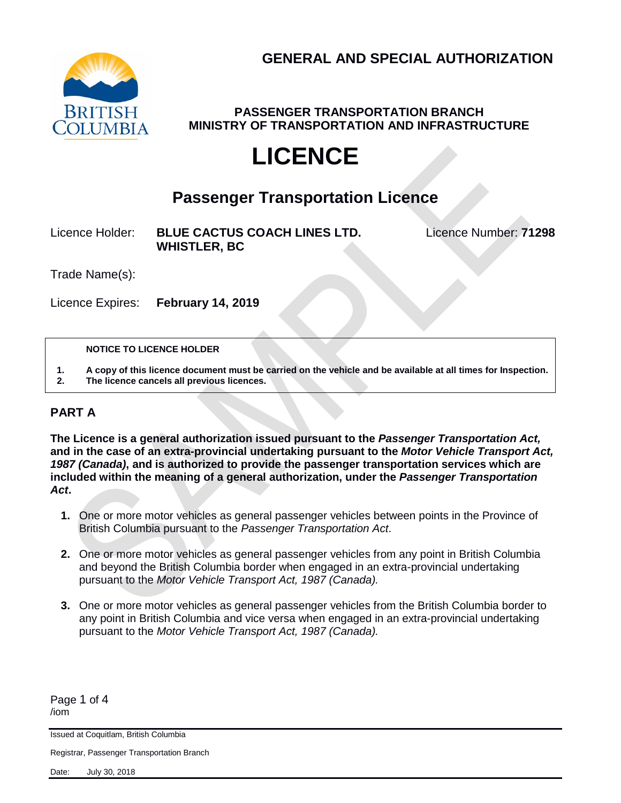

**PASSENGER TRANSPORTATION BRANCH MINISTRY OF TRANSPORTATION AND INFRASTRUCTURE**

# **LICENCE**

# **Passenger Transportation Licence**

Licence Holder: **BLUE CACTUS COACH LINES LTD.** Licence Number: **71298 WHISTLER, BC**

Trade Name(s):

Licence Expires: **February 14, 2019**

#### **NOTICE TO LICENCE HOLDER**

**1. A copy of this licence document must be carried on the vehicle and be available at all times for Inspection. 2. The licence cancels all previous licences.**

## **PART A**

**The Licence is a general authorization issued pursuant to the** *Passenger Transportation Act,*  **and in the case of an extra-provincial undertaking pursuant to the** *Motor Vehicle Transport Act, 1987 (Canada)***, and is authorized to provide the passenger transportation services which are included within the meaning of a general authorization, under the** *Passenger Transportation Act***.**

- **1.** One or more motor vehicles as general passenger vehicles between points in the Province of British Columbia pursuant to the *Passenger Transportation Act*.
- **2.** One or more motor vehicles as general passenger vehicles from any point in British Columbia and beyond the British Columbia border when engaged in an extra-provincial undertaking pursuant to the *Motor Vehicle Transport Act, 1987 (Canada).*
- **3.** One or more motor vehicles as general passenger vehicles from the British Columbia border to any point in British Columbia and vice versa when engaged in an extra-provincial undertaking pursuant to the *Motor Vehicle Transport Act, 1987 (Canada).*

Page 1 of 4 /iom

Issued at Coquitlam, British Columbia

Registrar, Passenger Transportation Branch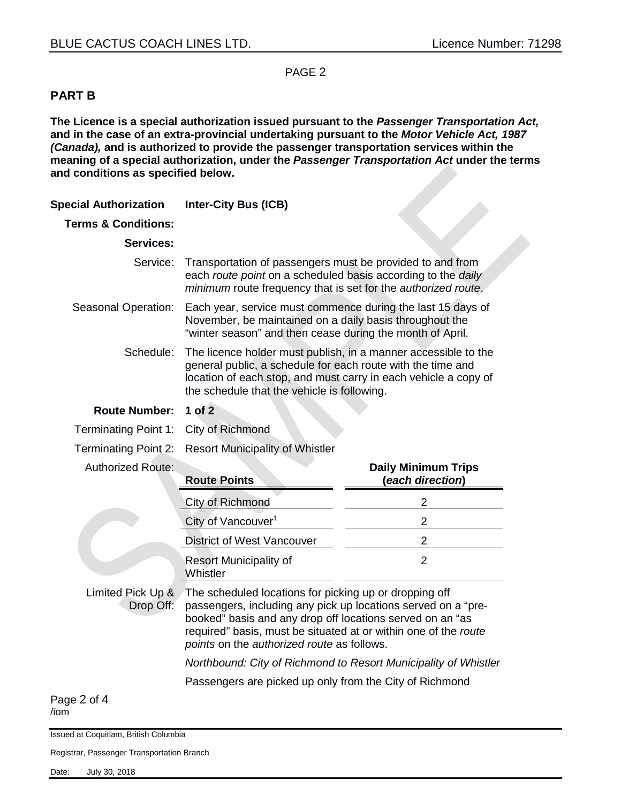#### PAGE 2

### **PART B**

**The Licence is a special authorization issued pursuant to the** *Passenger Transportation Act,*  **and in the case of an extra-provincial undertaking pursuant to the** *Motor Vehicle Act, 1987 (Canada),* **and is authorized to provide the passenger transportation services within the meaning of a special authorization, under the** *Passenger Transportation Act* **under the terms and conditions as specified below.**

| <b>Special Authorization</b>     | <b>Inter-City Bus (ICB)</b>                                                                                                                                                                                                                                                                           |                                                                 |
|----------------------------------|-------------------------------------------------------------------------------------------------------------------------------------------------------------------------------------------------------------------------------------------------------------------------------------------------------|-----------------------------------------------------------------|
| <b>Terms &amp; Conditions:</b>   |                                                                                                                                                                                                                                                                                                       |                                                                 |
| <b>Services:</b>                 |                                                                                                                                                                                                                                                                                                       |                                                                 |
| Service: <b>i</b>                | Transportation of passengers must be provided to and from<br>each route point on a scheduled basis according to the daily<br>minimum route frequency that is set for the authorized route.                                                                                                            |                                                                 |
| Seasonal Operation: :            | Each year, service must commence during the last 15 days of<br>November, be maintained on a daily basis throughout the<br>"winter season" and then cease during the month of April.                                                                                                                   |                                                                 |
| Schedule: <b>i</b>               | The licence holder must publish, in a manner accessible to the<br>general public, a schedule for each route with the time and<br>location of each stop, and must carry in each vehicle a copy of<br>the schedule that the vehicle is following.                                                       |                                                                 |
| <b>Route Number:</b>             | $1$ of $2$                                                                                                                                                                                                                                                                                            |                                                                 |
| Terminating Point 1: :           | City of Richmond                                                                                                                                                                                                                                                                                      |                                                                 |
| <b>Terminating Point 2:</b>      | <b>Resort Municipality of Whistler</b>                                                                                                                                                                                                                                                                |                                                                 |
| <b>Authorized Route:</b>         | <b>Route Points</b>                                                                                                                                                                                                                                                                                   | <b>Daily Minimum Trips</b><br>(each direction)                  |
|                                  |                                                                                                                                                                                                                                                                                                       |                                                                 |
|                                  | City of Richmond                                                                                                                                                                                                                                                                                      | $\overline{2}$                                                  |
|                                  | City of Vancouver <sup>1</sup>                                                                                                                                                                                                                                                                        | $\overline{2}$                                                  |
|                                  | <b>District of West Vancouver</b>                                                                                                                                                                                                                                                                     | $\overline{2}$                                                  |
|                                  | <b>Resort Municipality of</b><br>Whistler                                                                                                                                                                                                                                                             | $\overline{2}$                                                  |
| Limited Pick Up & !<br>Drop Off: | The scheduled locations for picking up or dropping off<br>passengers, including any pick up locations served on a "pre-<br>booked" basis and any drop off locations served on an "as<br>required" basis, must be situated at or within one of the route<br>points on the authorized route as follows. |                                                                 |
|                                  |                                                                                                                                                                                                                                                                                                       | Northbound: City of Richmond to Resort Municipality of Whistler |
|                                  | Passengers are picked up only from the City of Richmond                                                                                                                                                                                                                                               |                                                                 |

/iom

Issued at Coquitlam, British Columbia

Registrar, Passenger Transportation Branch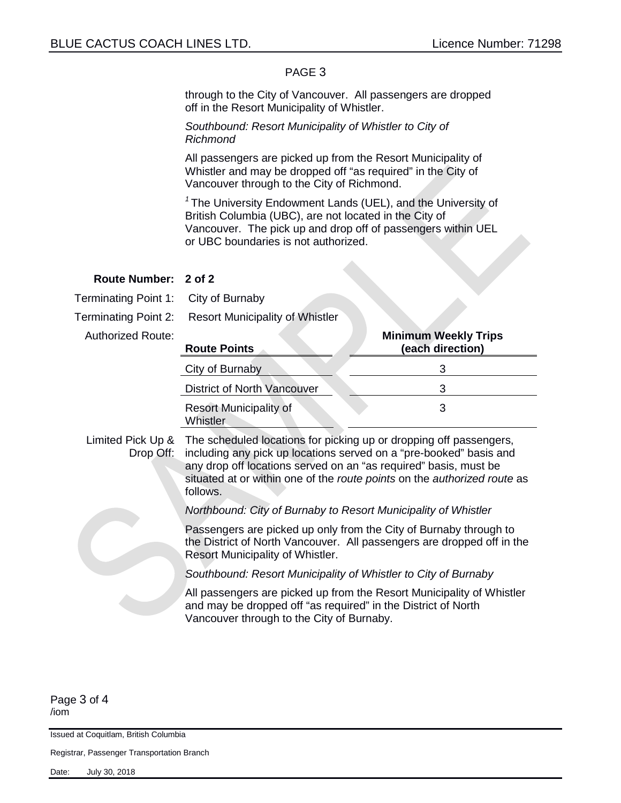#### PAGE 3

through to the City of Vancouver. All passengers are dropped off in the Resort Municipality of Whistler.

*Southbound: Resort Municipality of Whistler to City of Richmond*

All passengers are picked up from the Resort Municipality of Whistler and may be dropped off "as required" in the City of Vancouver through to the City of Richmond.

*<sup>1</sup>*The University Endowment Lands (UEL), and the University of British Columbia (UBC), are not located in the City of Vancouver. The pick up and drop off of passengers within UEL or UBC boundaries is not authorized.

| Route Number: : 2 of 2                            |                                                                                                                                                                                                                                                                                                      |                                                                                                                                             |  |
|---------------------------------------------------|------------------------------------------------------------------------------------------------------------------------------------------------------------------------------------------------------------------------------------------------------------------------------------------------------|---------------------------------------------------------------------------------------------------------------------------------------------|--|
| Terminating Point 1: :                            | City of Burnaby                                                                                                                                                                                                                                                                                      |                                                                                                                                             |  |
| Terminating Point 2: <b>}</b>                     | <b>Resort Municipality of Whistler</b>                                                                                                                                                                                                                                                               |                                                                                                                                             |  |
| <b>Authorized Route:</b>                          | <b>Route Points</b>                                                                                                                                                                                                                                                                                  | <b>Minimum Weekly Trips</b><br>(each direction)                                                                                             |  |
|                                                   | City of Burnaby                                                                                                                                                                                                                                                                                      | 3                                                                                                                                           |  |
|                                                   | <b>District of North Vancouver</b>                                                                                                                                                                                                                                                                   | 3                                                                                                                                           |  |
|                                                   | <b>Resort Municipality of</b><br>Whistler                                                                                                                                                                                                                                                            | 3                                                                                                                                           |  |
| Limited Pick Up $\&$ :<br>Drop Off: $\frac{1}{2}$ | The scheduled locations for picking up or dropping off passengers,<br>including any pick up locations served on a "pre-booked" basis and<br>any drop off locations served on an "as required" basis, must be<br>situated at or within one of the route points on the authorized route as<br>follows. |                                                                                                                                             |  |
|                                                   | Northbound: City of Burnaby to Resort Municipality of Whistler                                                                                                                                                                                                                                       |                                                                                                                                             |  |
|                                                   | Resort Municipality of Whistler.                                                                                                                                                                                                                                                                     | Passengers are picked up only from the City of Burnaby through to<br>the District of North Vancouver. All passengers are dropped off in the |  |
|                                                   | Southbound: Resort Municipality of Whistler to City of Burnaby                                                                                                                                                                                                                                       |                                                                                                                                             |  |
|                                                   | and may be dropped off "as required" in the District of North<br>Vancouver through to the City of Burnaby.                                                                                                                                                                                           | All passengers are picked up from the Resort Municipality of Whistler                                                                       |  |

Page 3 of 4 /iom

Issued at Coquitlam, British Columbia

Registrar, Passenger Transportation Branch